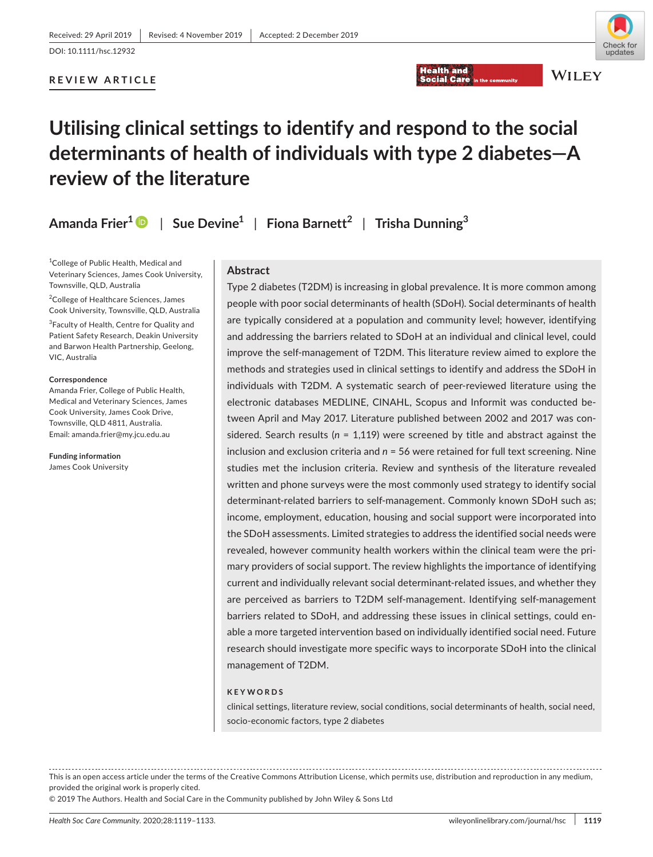**WILEY** 

# **REVIEW ARTICLE**

# **Utilising clinical settings to identify and respond to the social determinants of health of individuals with type 2 diabetes—A review of the literature**

**Amanda Frier1** | **Sue Devine1** | **Fiona Barnett<sup>2</sup>** | **Trisha Dunning<sup>3</sup>**

1 College of Public Health, Medical and Veterinary Sciences, James Cook University, Townsville, QLD, Australia

2 College of Healthcare Sciences, James Cook University, Townsville, QLD, Australia

<sup>3</sup> Faculty of Health, Centre for Quality and Patient Safety Research, Deakin University and Barwon Health Partnership, Geelong, VIC, Australia

#### **Correspondence**

Amanda Frier, College of Public Health, Medical and Veterinary Sciences, James Cook University, James Cook Drive, Townsville, QLD 4811, Australia. Email: [amanda.frier@my.jcu.edu.au](mailto:amanda.frier@my.jcu.edu.au)

**Funding information** James Cook University

#### **Abstract**

Type 2 diabetes (T2DM) is increasing in global prevalence. It is more common among people with poor social determinants of health (SDoH). Social determinants of health are typically considered at a population and community level; however, identifying and addressing the barriers related to SDoH at an individual and clinical level, could improve the self-management of T2DM. This literature review aimed to explore the methods and strategies used in clinical settings to identify and address the SDoH in individuals with T2DM. A systematic search of peer-reviewed literature using the electronic databases MEDLINE, CINAHL, Scopus and Informit was conducted between April and May 2017. Literature published between 2002 and 2017 was considered. Search results (*n* = 1,119) were screened by title and abstract against the inclusion and exclusion criteria and *n* = 56 were retained for full text screening. Nine studies met the inclusion criteria. Review and synthesis of the literature revealed written and phone surveys were the most commonly used strategy to identify social determinant-related barriers to self-management. Commonly known SDoH such as; income, employment, education, housing and social support were incorporated into the SDoH assessments. Limited strategies to address the identified social needs were revealed, however community health workers within the clinical team were the primary providers of social support. The review highlights the importance of identifying current and individually relevant social determinant-related issues, and whether they are perceived as barriers to T2DM self-management. Identifying self-management barriers related to SDoH, and addressing these issues in clinical settings, could enable a more targeted intervention based on individually identified social need. Future research should investigate more specific ways to incorporate SDoH into the clinical management of T2DM.

**Health and** 

**Social Care** 

#### **KEYWORDS**

clinical settings, literature review, social conditions, social determinants of health, social need, socio-economic factors, type 2 diabetes

This is an open access article under the terms of the [Creative Commons Attribution](http://creativecommons.org/licenses/by/4.0/) License, which permits use, distribution and reproduction in any medium, provided the original work is properly cited.

© 2019 The Authors. Health and Social Care in the Community published by John Wiley & Sons Ltd

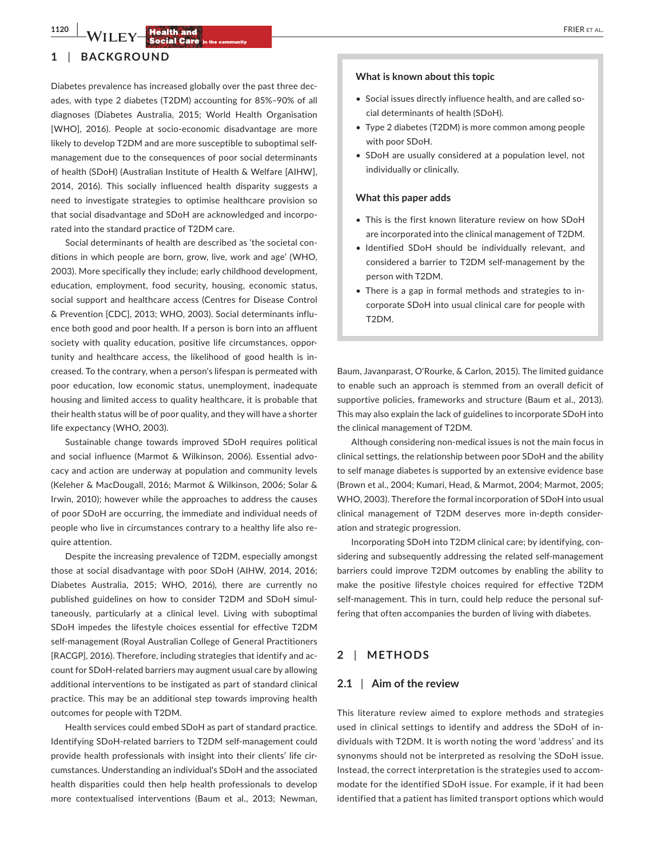**1120 | LAZER ET AL. <b>Health and by the set al. FRIER ET AL. FRIER ET AL.** 

#### **1** | **BACKGROUND**

Diabetes prevalence has increased globally over the past three decades, with type 2 diabetes (T2DM) accounting for 85%–90% of all diagnoses (Diabetes Australia, 2015; World Health Organisation [WHO], 2016). People at socio-economic disadvantage are more likely to develop T2DM and are more susceptible to suboptimal selfmanagement due to the consequences of poor social determinants of health (SDoH) (Australian Institute of Health & Welfare [AIHW], 2014, 2016). This socially influenced health disparity suggests a need to investigate strategies to optimise healthcare provision so that social disadvantage and SDoH are acknowledged and incorporated into the standard practice of T2DM care.

Social determinants of health are described as 'the societal conditions in which people are born, grow, live, work and age' (WHO, 2003). More specifically they include; early childhood development, education, employment, food security, housing, economic status, social support and healthcare access (Centres for Disease Control & Prevention [CDC], 2013; WHO, 2003). Social determinants influence both good and poor health. If a person is born into an affluent society with quality education, positive life circumstances, opportunity and healthcare access, the likelihood of good health is increased. To the contrary, when a person's lifespan is permeated with poor education, low economic status, unemployment, inadequate housing and limited access to quality healthcare, it is probable that their health status will be of poor quality, and they will have a shorter life expectancy (WHO, 2003).

Sustainable change towards improved SDoH requires political and social influence (Marmot & Wilkinson, 2006). Essential advocacy and action are underway at population and community levels (Keleher & MacDougall, 2016; Marmot & Wilkinson, 2006; Solar & Irwin, 2010); however while the approaches to address the causes of poor SDoH are occurring, the immediate and individual needs of people who live in circumstances contrary to a healthy life also require attention.

Despite the increasing prevalence of T2DM, especially amongst those at social disadvantage with poor SDoH (AIHW, 2014, 2016; Diabetes Australia, 2015; WHO, 2016), there are currently no published guidelines on how to consider T2DM and SDoH simultaneously, particularly at a clinical level. Living with suboptimal SDoH impedes the lifestyle choices essential for effective T2DM self-management (Royal Australian College of General Practitioners [RACGP], 2016). Therefore, including strategies that identify and account for SDoH-related barriers may augment usual care by allowing additional interventions to be instigated as part of standard clinical practice. This may be an additional step towards improving health outcomes for people with T2DM.

Health services could embed SDoH as part of standard practice. Identifying SDoH-related barriers to T2DM self-management could provide health professionals with insight into their clients' life circumstances. Understanding an individual's SDoH and the associated health disparities could then help health professionals to develop more contextualised interventions (Baum et al., 2013; Newman,

#### **What is known about this topic**

- Social issues directly influence health, and are called social determinants of health (SDoH).
- Type 2 diabetes (T2DM) is more common among people with poor SDoH.
- SDoH are usually considered at a population level, not individually or clinically.

#### **What this paper adds**

- This is the first known literature review on how SDoH are incorporated into the clinical management of T2DM.
- Identified SDoH should be individually relevant, and considered a barrier to T2DM self-management by the person with T2DM.
- There is a gap in formal methods and strategies to incorporate SDoH into usual clinical care for people with T2DM.

Baum, Javanparast, O'Rourke, & Carlon, 2015). The limited guidance to enable such an approach is stemmed from an overall deficit of supportive policies, frameworks and structure (Baum et al., 2013). This may also explain the lack of guidelines to incorporate SDoH into the clinical management of T2DM.

Although considering non-medical issues is not the main focus in clinical settings, the relationship between poor SDoH and the ability to self manage diabetes is supported by an extensive evidence base (Brown et al., 2004; Kumari, Head, & Marmot, 2004; Marmot, 2005; WHO, 2003). Therefore the formal incorporation of SDoH into usual clinical management of T2DM deserves more in-depth consideration and strategic progression.

Incorporating SDoH into T2DM clinical care; by identifying, considering and subsequently addressing the related self-management barriers could improve T2DM outcomes by enabling the ability to make the positive lifestyle choices required for effective T2DM self-management. This in turn, could help reduce the personal suffering that often accompanies the burden of living with diabetes.

#### **2** | **METHODS**

#### **2.1** | **Aim of the review**

This literature review aimed to explore methods and strategies used in clinical settings to identify and address the SDoH of individuals with T2DM. It is worth noting the word 'address' and its synonyms should not be interpreted as resolving the SDoH issue. Instead, the correct interpretation is the strategies used to accommodate for the identified SDoH issue. For example, if it had been identified that a patient has limited transport options which would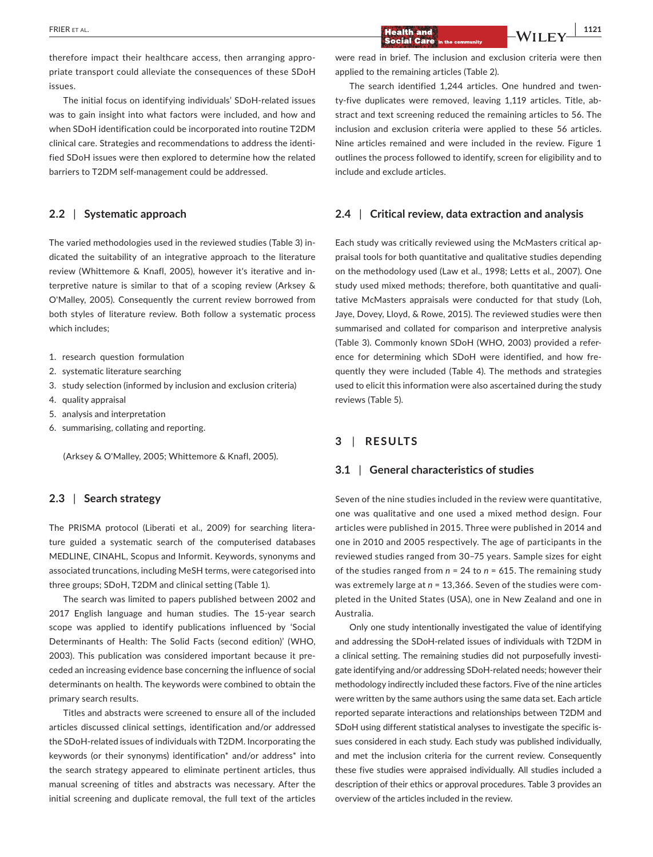therefore impact their healthcare access, then arranging appropriate transport could alleviate the consequences of these SDoH issues.

The initial focus on identifying individuals' SDoH-related issues was to gain insight into what factors were included, and how and when SDoH identification could be incorporated into routine T2DM clinical care. Strategies and recommendations to address the identified SDoH issues were then explored to determine how the related barriers to T2DM self-management could be addressed.

# **2.2** | **Systematic approach**

The varied methodologies used in the reviewed studies (Table 3) indicated the suitability of an integrative approach to the literature review (Whittemore & Knafl, 2005), however it's iterative and interpretive nature is similar to that of a scoping review (Arksey & O'Malley, 2005). Consequently the current review borrowed from both styles of literature review. Both follow a systematic process which includes;

- 1. research question formulation
- 2. systematic literature searching
- 3. study selection (informed by inclusion and exclusion criteria)
- 4. quality appraisal
- 5. analysis and interpretation
- 6. summarising, collating and reporting.

(Arksey & O'Malley, 2005; Whittemore & Knafl, 2005).

# **2.3** | **Search strategy**

The PRISMA protocol (Liberati et al., 2009) for searching literature guided a systematic search of the computerised databases MEDLINE, CINAHL, Scopus and Informit. Keywords, synonyms and associated truncations, including MeSH terms, were categorised into three groups; SDoH, T2DM and clinical setting (Table 1).

The search was limited to papers published between 2002 and 2017 English language and human studies. The 15-year search scope was applied to identify publications influenced by 'Social Determinants of Health: The Solid Facts (second edition)' (WHO, 2003). This publication was considered important because it preceded an increasing evidence base concerning the influence of social determinants on health. The keywords were combined to obtain the primary search results.

Titles and abstracts were screened to ensure all of the included articles discussed clinical settings, identification and/or addressed the SDoH-related issues of individuals with T2DM. Incorporating the keywords (or their synonyms) identification\* and/or address\* into the search strategy appeared to eliminate pertinent articles, thus manual screening of titles and abstracts was necessary. After the initial screening and duplicate removal, the full text of the articles were read in brief. The inclusion and exclusion criteria were then applied to the remaining articles (Table 2).

The search identified 1,244 articles. One hundred and twenty-five duplicates were removed, leaving 1,119 articles. Title, abstract and text screening reduced the remaining articles to 56. The inclusion and exclusion criteria were applied to these 56 articles. Nine articles remained and were included in the review. Figure 1 outlines the process followed to identify, screen for eligibility and to include and exclude articles.

# **2.4** | **Critical review, data extraction and analysis**

Each study was critically reviewed using the McMasters critical appraisal tools for both quantitative and qualitative studies depending on the methodology used (Law et al., 1998; Letts et al., 2007). One study used mixed methods; therefore, both quantitative and qualitative McMasters appraisals were conducted for that study (Loh, Jaye, Dovey, Lloyd, & Rowe, 2015). The reviewed studies were then summarised and collated for comparison and interpretive analysis (Table 3). Commonly known SDoH (WHO, 2003) provided a reference for determining which SDoH were identified, and how frequently they were included (Table 4). The methods and strategies used to elicit this information were also ascertained during the study reviews (Table 5).

#### **3** | **RESULTS**

#### **3.1** | **General characteristics of studies**

Seven of the nine studies included in the review were quantitative, one was qualitative and one used a mixed method design. Four articles were published in 2015. Three were published in 2014 and one in 2010 and 2005 respectively. The age of participants in the reviewed studies ranged from 30–75 years. Sample sizes for eight of the studies ranged from *n* = 24 to *n* = 615. The remaining study was extremely large at *n* = 13,366. Seven of the studies were completed in the United States (USA), one in New Zealand and one in Australia.

Only one study intentionally investigated the value of identifying and addressing the SDoH-related issues of individuals with T2DM in a clinical setting. The remaining studies did not purposefully investigate identifying and/or addressing SDoH-related needs; however their methodology indirectly included these factors. Five of the nine articles were written by the same authors using the same data set. Each article reported separate interactions and relationships between T2DM and SDoH using different statistical analyses to investigate the specific issues considered in each study. Each study was published individually, and met the inclusion criteria for the current review. Consequently these five studies were appraised individually. All studies included a description of their ethics or approval procedures. Table 3 provides an overview of the articles included in the review.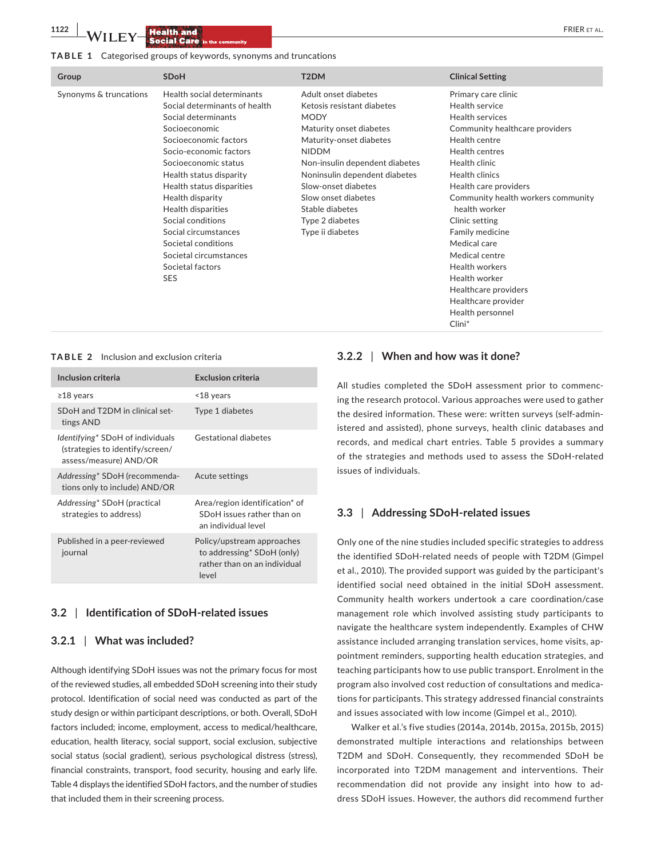#### **TABLE 1** Categorised groups of keywords, synonyms and truncations

| Group                  | <b>SDoH</b>                                                                                                                                                                                                                                                                                                                                                                                                      | T <sub>2</sub> DM                                                                                                                                                                                                                                                                                                  | <b>Clinical Setting</b>                                                                                                                                                                                                                                                                                                                                                                                                                                  |
|------------------------|------------------------------------------------------------------------------------------------------------------------------------------------------------------------------------------------------------------------------------------------------------------------------------------------------------------------------------------------------------------------------------------------------------------|--------------------------------------------------------------------------------------------------------------------------------------------------------------------------------------------------------------------------------------------------------------------------------------------------------------------|----------------------------------------------------------------------------------------------------------------------------------------------------------------------------------------------------------------------------------------------------------------------------------------------------------------------------------------------------------------------------------------------------------------------------------------------------------|
| Synonyms & truncations | Health social determinants<br>Social determinants of health<br>Social determinants<br>Socioeconomic<br>Socioeconomic factors<br>Socio-economic factors<br>Socioeconomic status<br>Health status disparity<br>Health status disparities<br>Health disparity<br>Health disparities<br>Social conditions<br>Social circumstances<br>Societal conditions<br>Societal circumstances<br>Societal factors<br><b>SES</b> | Adult onset diabetes<br>Ketosis resistant diabetes<br><b>MODY</b><br>Maturity onset diabetes<br>Maturity-onset diabetes<br><b>NIDDM</b><br>Non-insulin dependent diabetes<br>Noninsulin dependent diabetes<br>Slow-onset diabetes<br>Slow onset diabetes<br>Stable diabetes<br>Type 2 diabetes<br>Type ii diabetes | Primary care clinic<br>Health service<br>Health services<br>Community healthcare providers<br>Health centre<br>Health centres<br>Health clinic<br><b>Health clinics</b><br>Health care providers<br>Community health workers community<br>health worker<br>Clinic setting<br>Family medicine<br>Medical care<br>Medical centre<br><b>Health workers</b><br>Health worker<br>Healthcare providers<br>Healthcare provider<br>Health personnel<br>$Clini^*$ |

#### **TABLE 2** Inclusion and exclusion criteria

| Inclusion criteria                                                                                    | <b>Exclusion criteria</b>                                                                         |
|-------------------------------------------------------------------------------------------------------|---------------------------------------------------------------------------------------------------|
| $\geq$ 18 years                                                                                       | $<$ 18 years                                                                                      |
| SDoH and T2DM in clinical set-<br>tings AND                                                           | Type 1 diabetes                                                                                   |
| <i>Identifying</i> * SDoH of individuals<br>(strategies to identify/screen/<br>assess/measure) AND/OR | Gestational diabetes                                                                              |
| Addressing* SDoH (recommenda-<br>tions only to include) AND/OR                                        | Acute settings                                                                                    |
| Addressing* SDoH (practical<br>strategies to address)                                                 | Area/region identification* of<br>SDoH issues rather than on<br>an individual level               |
| Published in a peer-reviewed<br>journal                                                               | Policy/upstream approaches<br>to addressing* SDoH (only)<br>rather than on an individual<br>level |

#### **3.2** | **Identification of SDoH-related issues**

#### **3.2.1** | **What was included?**

Although identifying SDoH issues was not the primary focus for most of the reviewed studies, all embedded SDoH screening into their study protocol. Identification of social need was conducted as part of the study design or within participant descriptions, or both. Overall, SDoH factors included; income, employment, access to medical/healthcare, education, health literacy, social support, social exclusion, subjective social status (social gradient), serious psychological distress (stress), financial constraints, transport, food security, housing and early life. Table 4 displays the identified SDoH factors, and the number of studies that included them in their screening process.

## **3.2.2** | **When and how was it done?**

All studies completed the SDoH assessment prior to commencing the research protocol. Various approaches were used to gather the desired information. These were: written surveys (self-administered and assisted), phone surveys, health clinic databases and records, and medical chart entries. Table 5 provides a summary of the strategies and methods used to assess the SDoH-related issues of individuals.

#### **3.3** | **Addressing SDoH-related issues**

Only one of the nine studies included specific strategies to address the identified SDoH-related needs of people with T2DM (Gimpel et al., 2010). The provided support was guided by the participant's identified social need obtained in the initial SDoH assessment. Community health workers undertook a care coordination/case management role which involved assisting study participants to navigate the healthcare system independently. Examples of CHW assistance included arranging translation services, home visits, appointment reminders, supporting health education strategies, and teaching participants how to use public transport. Enrolment in the program also involved cost reduction of consultations and medications for participants. This strategy addressed financial constraints and issues associated with low income (Gimpel et al., 2010).

Walker et al.'s five studies (2014a, 2014b, 2015a, 2015b, 2015) demonstrated multiple interactions and relationships between T2DM and SDoH. Consequently, they recommended SDoH be incorporated into T2DM management and interventions. Their recommendation did not provide any insight into how to address SDoH issues. However, the authors did recommend further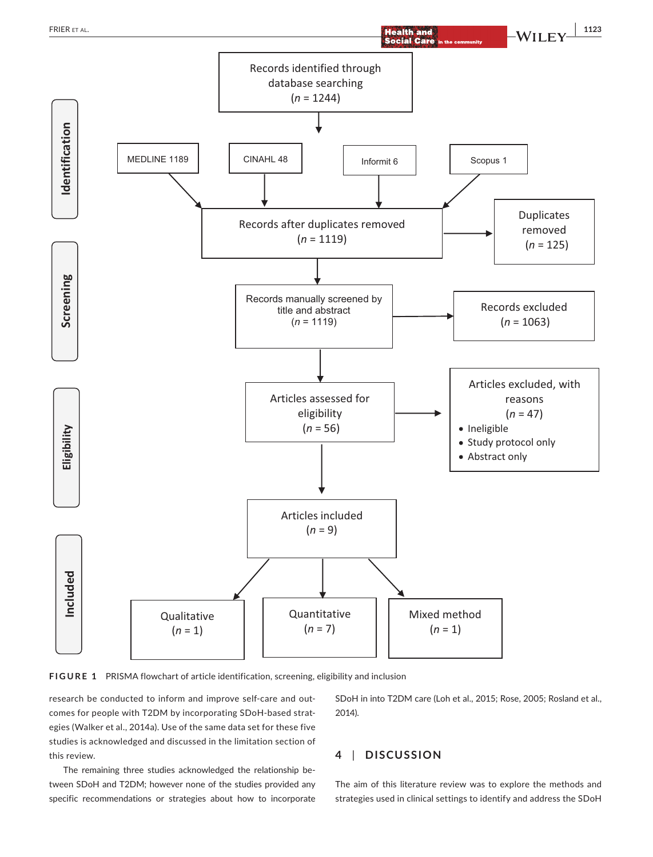

Articles included  $(n = 9)$ 

Quantitative  $(n = 7)$ 

**FIGURE 1** PRISMA flowchart of article identification, screening, eligibility and inclusion

research be conducted to inform and improve self-care and outcomes for people with T2DM by incorporating SDoH-based strategies (Walker et al., 2014a). Use of the same data set for these five studies is acknowledged and discussed in the limitation section of this review.

**Qualitative**  $(n = 1)$ 

Included

The remaining three studies acknowledged the relationship between SDoH and T2DM; however none of the studies provided any specific recommendations or strategies about how to incorporate SDoH in into T2DM care (Loh et al., 2015; Rose, 2005; Rosland et al., 2014).

Mixed method  $(n = 1)$ 

# **4** | **DISCUSSION**

The aim of this literature review was to explore the methods and strategies used in clinical settings to identify and address the SDoH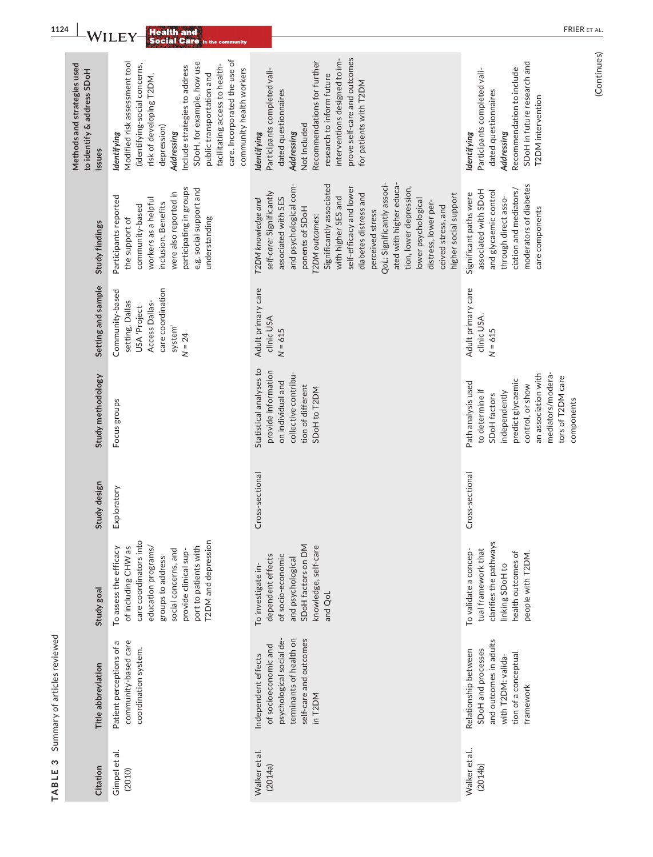| <b>FRIER</b><br>Health and<br>Wı<br>LE<br><b>Social Care in the community</b> |                                                                                                                                                                                                                                                                                                                                   |                                                                                                                                                                                                                                                                                                                                                                                                                                                   |                                                                                                                                                                                                |
|-------------------------------------------------------------------------------|-----------------------------------------------------------------------------------------------------------------------------------------------------------------------------------------------------------------------------------------------------------------------------------------------------------------------------------|---------------------------------------------------------------------------------------------------------------------------------------------------------------------------------------------------------------------------------------------------------------------------------------------------------------------------------------------------------------------------------------------------------------------------------------------------|------------------------------------------------------------------------------------------------------------------------------------------------------------------------------------------------|
| Methods and strategies used<br>to identify & address SDoH<br>issues           | care. Incorporated the use of<br>Modified risk assessment tool<br>SDoH, for example, how use<br>(identifying-social concerns,<br>facilitating access to health-<br>Include strategies to address<br>community health workers<br>public transportation and<br>risk of developing T2DM,<br>depression)<br>Addressing<br>Identifying | prove self-care and outcomes<br>interventions designed to im-<br>Recommendations for further<br>Participants completed vali-<br>research to inform future<br>for patients with T2DM<br>dated questionnaires<br>Not Included<br>Addressing<br>Identifying                                                                                                                                                                                          | SDoH in future research and<br>Recommendation to include<br>Participants completed vali-<br>dated questionnaires<br>T2DM intervention<br>Addressing<br>Identifying                             |
| Study findings                                                                | participating in groups<br>e.g. social support and<br>were also reported in<br>Participants reported<br>workers as a helpful<br>inclusion. Benefits<br>community-based<br>the support of<br>understanding                                                                                                                         | ated with higher educa-<br>QoL: Significantly associ-<br>and psychological com-<br>Significantly associated<br>self-efficacy and lower<br>tion, lower depression,<br>self-care: Significantly<br>diabetes distress and<br>higher social support<br>with higher SES and<br>associated with SES<br>T2DM knowledge and<br>lower psychological<br>distress, lower per-<br>ceived stress, and<br>ponents of SDoH<br>perceived stress<br>T2DM outcomes: | moderators of diabetes<br>ciation and mediators/<br>associated with SDoH<br>and glycaemic control<br>Significant paths were<br>through direct asso-<br>care components                         |
| Setting and sample                                                            | care coordination<br>Community-based<br>setting. Dallas<br>Access Dallas-<br>USA 'Project<br>system <sup>1</sup><br>$N = 24$                                                                                                                                                                                                      | Adult primary care<br>clinic USA<br>$N = 615$                                                                                                                                                                                                                                                                                                                                                                                                     | Adult primary care<br>clinic USA.<br>$N = 615$                                                                                                                                                 |
| Study methodology                                                             | Focus groups                                                                                                                                                                                                                                                                                                                      | Statistical analyses to<br>provide information<br>collective contribu-<br>on individual and<br>tion of different<br>SDoH to T2DM                                                                                                                                                                                                                                                                                                                  | mediators/modera-<br>an association with<br>tors of T2DM care<br>predict glycaemic<br>Path analysis used<br>control, or show<br>to determine if<br>independently<br>SDoH factors<br>components |
| Study design                                                                  | Exploratory                                                                                                                                                                                                                                                                                                                       | s-sectional<br>Cros                                                                                                                                                                                                                                                                                                                                                                                                                               | s-sectional<br>Cros:                                                                                                                                                                           |
| Study goal                                                                    | T2DM and depression<br>care coordinators into<br>port to patients with<br>of including CHW as<br>To assess the efficacy<br>education programs/<br>social concerns, and<br>provide clinical sup-<br>groups to address                                                                                                              | SDoH factors on DM<br>knowledge, self-care<br>dependent effects<br>of socio-economic<br>and psychological<br>To investigate in-<br>and QoL                                                                                                                                                                                                                                                                                                        | clarifies the pathways<br>tual framework that<br>To validate a concep-<br>health outcomes of<br>people with T2DM.<br>linking SDoH to                                                           |
| Title abbreviation                                                            | community-based care<br>Patient perceptions of a<br>coordination system.                                                                                                                                                                                                                                                          | psychological social de-<br>terminants of health on<br>self-care and outcomes<br>of socioeconomic and<br>Independent effects<br>in T2DM                                                                                                                                                                                                                                                                                                           | and outcomes in adults<br>SDoH and processes<br>Relationship between<br>tion of a conceptual<br>with T2DM: valida-<br>framework                                                                |
| Citation                                                                      | Gimpel et al.<br>(2010)                                                                                                                                                                                                                                                                                                           | Walker et al.<br>(2014a)                                                                                                                                                                                                                                                                                                                                                                                                                          | Walker et al<br>(2014b)                                                                                                                                                                        |

TABLE 3 Summary of articles reviewed **TABLE 3** Summary of articles reviewed

(Continues) (Continues)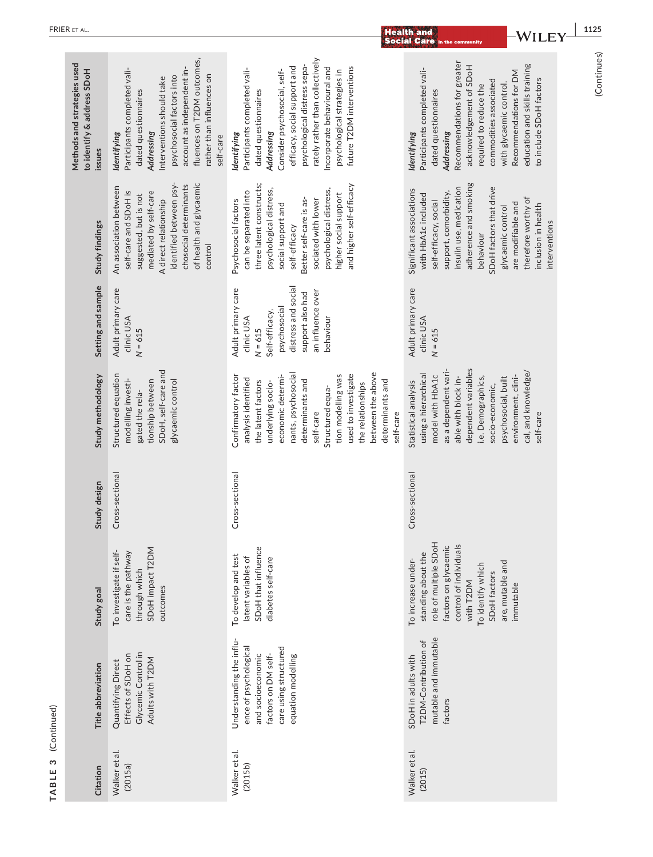|             |                                                                     |                                                                                                                                                                                                                                                   |                                                                                                                                                                                                                                                                                                                 | <b>Social Care in the community</b>                                                                                                                                                                                                                                                                              |             |
|-------------|---------------------------------------------------------------------|---------------------------------------------------------------------------------------------------------------------------------------------------------------------------------------------------------------------------------------------------|-----------------------------------------------------------------------------------------------------------------------------------------------------------------------------------------------------------------------------------------------------------------------------------------------------------------|------------------------------------------------------------------------------------------------------------------------------------------------------------------------------------------------------------------------------------------------------------------------------------------------------------------|-------------|
|             | Methods and strategies used<br>to identify & address SDoH<br>issues | fluences on T2DM outcomes,<br>account as independent in-<br>Participants completed vali-<br>rather than influences on<br>psychosocial factors into<br>Interventions should take<br>dated questionnaires<br>Addressing<br>Identifying<br>self-care | rately rather than collectively<br>psychological distress sepa-<br>efficacy, social support and<br>Incorporate behavioural and<br>future T2DM interventions<br>Participants completed vali-<br>Consider psychosocial, self-<br>psychological strategies in<br>dated questionnaires<br>Addressing<br>ldentifying | Recommendations for greater<br>education and skills training<br>acknowledgement of SDoH<br>Participants completed vali-<br>Recommendations for DM<br>to include SDoH factors<br>commodities associated<br>with glycaemic control.<br>required to reduce the<br>dated questionnaires<br>Addressing<br>ldentifying | (Continues) |
|             | Study findings                                                      | of health and glycaemic<br>identified between psy-<br>chosocial determinants<br>An association between<br>self-care and SDoH is<br>mediated by self-care<br>suggested, but is not<br>A direct relationship<br>control                             | three latent constructs;<br>and higher self-efficacy<br>psychological distress,<br>psychological distress,<br>can be separated into<br>higher social support<br>Better self-care is as-<br>sociated with lower<br>Psychosocial factors<br>social support and<br>self-efficacy                                   | adherence and smoking<br>SDoH factors that drive<br>insulin use, medication<br>Significant associations<br>support, comorbidity,<br>with HbA1c included<br>therefore worthy of<br>self-efficacy, social<br>are modifiable and<br>inclusion in health<br>glycaemic control<br>interventions<br>behaviour          |             |
|             | Setting and sample                                                  | Adult primary care<br>clinic USA<br>$N = 615$                                                                                                                                                                                                     | distress and social<br>Adult primary care<br>an influence over<br>support also had<br>psychosocial<br>Self-efficacy,<br>clinic USA<br>behaviour<br>$N = 615$                                                                                                                                                    | Adult primary care<br>clinic USA<br>$N = 615$                                                                                                                                                                                                                                                                    |             |
|             | Study methodology                                                   | SDoH, self-care and<br>Structured equation<br>glycaemic control<br>modelling investi-<br>tionship between<br>gated the rela-                                                                                                                      | between the above<br>nants, psychosocial<br>used to investigate<br>tion modelling was<br>Confirmatory factor<br>economic determi-<br>analysis identified<br>determinants and<br>determinants and<br>the latent factors<br>underlying socio-<br>the relationships<br>Structured equa-<br>self-care<br>self-care  | dependent variables<br>as a dependent vari-<br>cal, and knowledge/<br>using a hierarchical<br>model with HbA1c<br>environment, clini-<br>psychosocial, built<br>able with block in-<br>i.e. Demographics,<br>Statistical analysis<br>socio-economic,<br>self-care                                                |             |
|             | Study design                                                        | Cross-sectional                                                                                                                                                                                                                                   | Cross-sectional                                                                                                                                                                                                                                                                                                 | Cross-sectional                                                                                                                                                                                                                                                                                                  |             |
|             | Study goal                                                          | SDoH impact T2DM<br>To investigate if self-<br>care is the pathway<br>through which<br>outcomes                                                                                                                                                   | SDoH that influence<br>To develop and test<br>latent variables of<br>diabetes self-care                                                                                                                                                                                                                         | role of multiple SDoH<br>control of individuals<br>factors on glycaemic<br>standing about the<br>To increase under-<br>are, mutable and<br>To identify which<br>SDoH factors<br>with T2DM<br>immutable                                                                                                           |             |
| (Continued) | Title abbreviation                                                  | Glycemic Control in<br>Effects of SDoH on<br>Adults with T2DM<br>Quantifying Direct                                                                                                                                                               | Understanding the influ-<br>ence of psychological<br>care using structured<br>equation modelling<br>and socioeconomic<br>factors on DM self-                                                                                                                                                                    | mutable and immutable<br>T2DM-Contribution of<br>SDoH in adults with<br>factors                                                                                                                                                                                                                                  |             |
| TABLE 3     | Citation                                                            | Walker et al.<br>(2015a)                                                                                                                                                                                                                          | Walker et al.<br>(2015b)                                                                                                                                                                                                                                                                                        | Walker et al.<br>(2015)                                                                                                                                                                                                                                                                                          |             |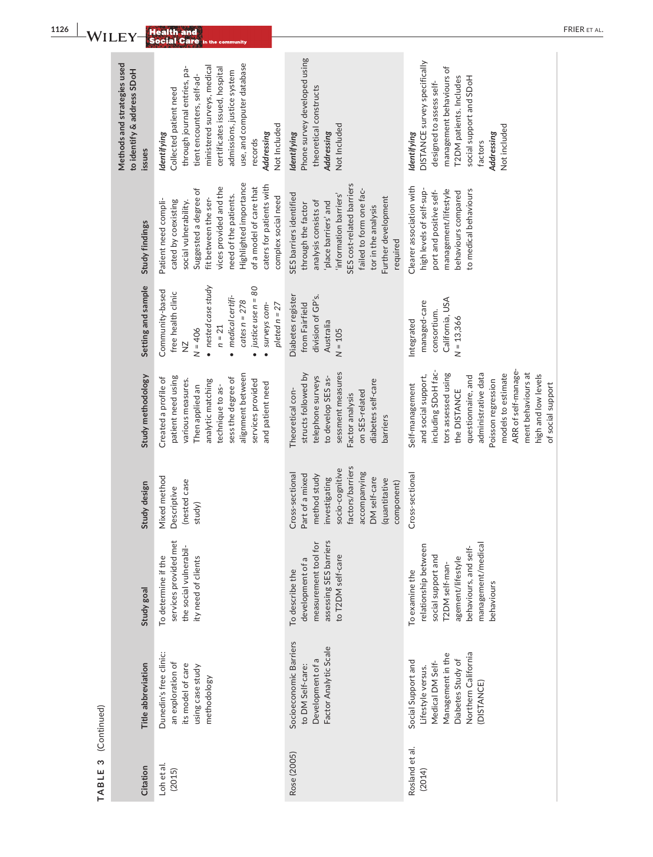| $\mathsf{\neg W I}$ |                                                                     | <b>Health and</b><br><b>Social Care in the community</b>                                                                                                                                                                                                                         |                                                                                                                                                                                                                                          | F                                                                                                                                                                                                                                                                                      |
|---------------------|---------------------------------------------------------------------|----------------------------------------------------------------------------------------------------------------------------------------------------------------------------------------------------------------------------------------------------------------------------------|------------------------------------------------------------------------------------------------------------------------------------------------------------------------------------------------------------------------------------------|----------------------------------------------------------------------------------------------------------------------------------------------------------------------------------------------------------------------------------------------------------------------------------------|
|                     | Methods and strategies used<br>to identify & address SDoH<br>issues | use, and computer database<br>ministered surveys, medical<br>through journal entries, pa-<br>certificates issued, hospital<br>admissions, justice system<br>tient encounters, self-ad-<br>Collected patient need<br>Not Included<br>ldentifying<br>Addressing<br>records         | Phone survey developed using<br>theoretical constructs<br>Not Included<br>Identifying<br>Addressing                                                                                                                                      | DISTANCE survey specifically<br>management behaviours of<br>T2DM patients. Includes<br>social support and SDoH<br>designed to assess self-<br>Not included<br>Identifying<br>Addressing<br>factors                                                                                     |
|                     | Study findings                                                      | Highlighted importance<br>caters for patients with<br>of a model of care that<br>vices provided and the<br>Suggested a degree of<br>need of the patients.<br>complex social need<br>fit between the ser-<br>Patient need compli-<br>cated by coexisting<br>social vulnerability. | SES cost-related barriers<br>failed to form one fac-<br>SES barriers identified<br>'information barriers'<br>Further development<br>analysis consists of<br>place barriers' and<br>through the factor<br>tor in the analysis<br>required | Clearer association with<br>high levels of self-sup-<br>management/lifestyle<br>to medical behaviours<br>port and positive self-<br>behaviours compared                                                                                                                                |
|                     | Setting and sample                                                  | · nested case study<br>justice use $n = 80$<br>Community-based<br>free health clinic<br>medical certifi-<br>$cates n = 278$<br>surveys com-<br>$pleted n = 27$<br>$n = 21$<br>$N = 406$<br>$\frac{N}{2}$<br>$\bullet$                                                            | Diabetes register<br>division of GP's.<br>from Fairfield<br>Australia<br>$N = 105$                                                                                                                                                       | California, USA<br>managed-care<br>consortium.<br>$N = 13,366$<br>Integrated                                                                                                                                                                                                           |
|                     | Study methodology                                                   | alignment between<br>patient need using<br>sess the degree of<br>Created a profile of<br>services provided<br>various measures.<br>analytic matching<br>and patient need<br>technique to as-<br>Then applied an                                                                  | sessment measures<br>structs followed by<br>telephone surveys<br>to develop SES as-<br>diabetes self-care<br>Theoretical con-<br>on SES-related<br>Factor analysis<br>barriers                                                           | ARR of self-manage-<br>including SDoH fac-<br>ment behaviours at<br>models to estimate<br>administrative data<br>tors assessed using<br>high and low levels<br>and social support,<br>questionnaire, and<br>Poisson regression<br>of social support<br>Self-management<br>the DISTANCE |
|                     | Study design                                                        | Mixed method<br>(nested case<br>Descriptive<br>study)                                                                                                                                                                                                                            | factors/barriers<br>socio-cognitive<br>accompanying<br>Cross-sectional<br>Part of a mixed<br>method study<br>investigating<br>DM self-care<br>(quantitative<br>component)                                                                | Cross-sectional                                                                                                                                                                                                                                                                        |
|                     | Study goal                                                          | services provided met<br>the social vulnerabil-<br>To determine if the<br>ity need of clients                                                                                                                                                                                    | assessing SES barriers<br>measurement tool for<br>to T2DM self-care<br>development of a<br>To describe the                                                                                                                               | management/medical<br>relationship between<br>behaviours, and self-<br>social support and<br>agement/lifestyle<br>T2DM self-man-<br>To examine the<br>behaviours                                                                                                                       |
| (Continued)         | Title abbreviation                                                  | Dunedin's free clinic:<br>an exploration of<br>its model of care<br>using case study<br>methodology                                                                                                                                                                              | Socioeconomic Barriers<br>Factor Analytic Scale<br>Development of a<br>to DM Self-care:                                                                                                                                                  | Northern California<br>Management in the<br>Diabetes Study of<br>Social Support and<br>Medical DM Self-<br>Lifestyle versus.<br>DISTANCE)                                                                                                                                              |
| TABLE 3             | Citation                                                            | Loh et al.<br>(2015)                                                                                                                                                                                                                                                             | Rose (2005)                                                                                                                                                                                                                              | Rosland et al.<br>(2014)                                                                                                                                                                                                                                                               |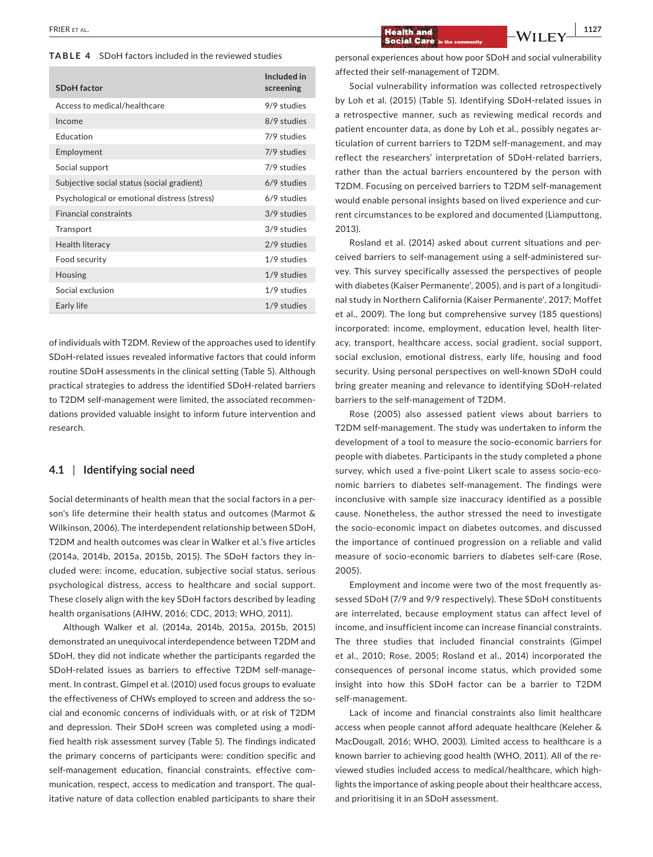#### **TABLE 4** SDoH factors included in the reviewed studies

| <b>SDoH</b> factor                           | Included in<br>screening |
|----------------------------------------------|--------------------------|
| Access to medical/healthcare                 | 9/9 studies              |
| Income                                       | 8/9 studies              |
| <b>Education</b>                             | 7/9 studies              |
| Employment                                   | 7/9 studies              |
| Social support                               | 7/9 studies              |
| Subjective social status (social gradient)   | $6/9$ studies            |
| Psychological or emotional distress (stress) | 6/9 studies              |
| <b>Financial constraints</b>                 | 3/9 studies              |
| Transport                                    | 3/9 studies              |
| Health literacy                              | 2/9 studies              |
| Food security                                | 1/9 studies              |
| Housing                                      | $1/9$ studies            |
| Social exclusion                             | $1/9$ studies            |
| Early life                                   | 1/9 studies              |
|                                              |                          |

of individuals with T2DM. Review of the approaches used to identify SDoH-related issues revealed informative factors that could inform routine SDoH assessments in the clinical setting (Table 5). Although practical strategies to address the identified SDoH-related barriers to T2DM self-management were limited, the associated recommendations provided valuable insight to inform future intervention and research.

#### **4.1** | **Identifying social need**

Social determinants of health mean that the social factors in a person's life determine their health status and outcomes (Marmot & Wilkinson, 2006). The interdependent relationship between SDoH, T2DM and health outcomes was clear in Walker et al.'s five articles (2014a, 2014b, 2015a, 2015b, 2015). The SDoH factors they included were: income, education, subjective social status, serious psychological distress, access to healthcare and social support. These closely align with the key SDoH factors described by leading health organisations (AIHW, 2016; CDC, 2013; WHO, 2011).

Although Walker et al. (2014a, 2014b, 2015a, 2015b, 2015) demonstrated an unequivocal interdependence between T2DM and SDoH, they did not indicate whether the participants regarded the SDoH-related issues as barriers to effective T2DM self-management. In contrast, Gimpel et al. (2010) used focus groups to evaluate the effectiveness of CHWs employed to screen and address the social and economic concerns of individuals with, or at risk of T2DM and depression. Their SDoH screen was completed using a modified health risk assessment survey (Table 5). The findings indicated the primary concerns of participants were: condition specific and self-management education, financial constraints, effective communication, respect, access to medication and transport. The qualitative nature of data collection enabled participants to share their personal experiences about how poor SDoH and social vulnerability affected their self-management of T2DM.

Social vulnerability information was collected retrospectively by Loh et al. (2015) (Table 5). Identifying SDoH-related issues in a retrospective manner, such as reviewing medical records and patient encounter data, as done by Loh et al., possibly negates articulation of current barriers to T2DM self-management, and may reflect the researchers' interpretation of SDoH-related barriers, rather than the actual barriers encountered by the person with T2DM. Focusing on perceived barriers to T2DM self-management would enable personal insights based on lived experience and current circumstances to be explored and documented (Liamputtong, 2013).

Rosland et al. (2014) asked about current situations and perceived barriers to self-management using a self-administered survey. This survey specifically assessed the perspectives of people with diabetes (Kaiser Permanente', 2005), and is part of a longitudinal study in Northern California (Kaiser Permanente', 2017; Moffet et al., 2009). The long but comprehensive survey (185 questions) incorporated: income, employment, education level, health literacy, transport, healthcare access, social gradient, social support, social exclusion, emotional distress, early life, housing and food security. Using personal perspectives on well-known SDoH could bring greater meaning and relevance to identifying SDoH-related barriers to the self-management of T2DM.

Rose (2005) also assessed patient views about barriers to T2DM self-management. The study was undertaken to inform the development of a tool to measure the socio-economic barriers for people with diabetes. Participants in the study completed a phone survey, which used a five-point Likert scale to assess socio-economic barriers to diabetes self-management. The findings were inconclusive with sample size inaccuracy identified as a possible cause. Nonetheless, the author stressed the need to investigate the socio-economic impact on diabetes outcomes, and discussed the importance of continued progression on a reliable and valid measure of socio-economic barriers to diabetes self-care (Rose, 2005).

Employment and income were two of the most frequently assessed SDoH (7/9 and 9/9 respectively). These SDoH constituents are interrelated, because employment status can affect level of income, and insufficient income can increase financial constraints. The three studies that included financial constraints (Gimpel et al., 2010; Rose, 2005; Rosland et al., 2014) incorporated the consequences of personal income status, which provided some insight into how this SDoH factor can be a barrier to T2DM self-management.

Lack of income and financial constraints also limit healthcare access when people cannot afford adequate healthcare (Keleher & MacDougall, 2016; WHO, 2003). Limited access to healthcare is a known barrier to achieving good health (WHO, 2011). All of the reviewed studies included access to medical/healthcare, which highlights the importance of asking people about their healthcare access, and prioritising it in an SDoH assessment.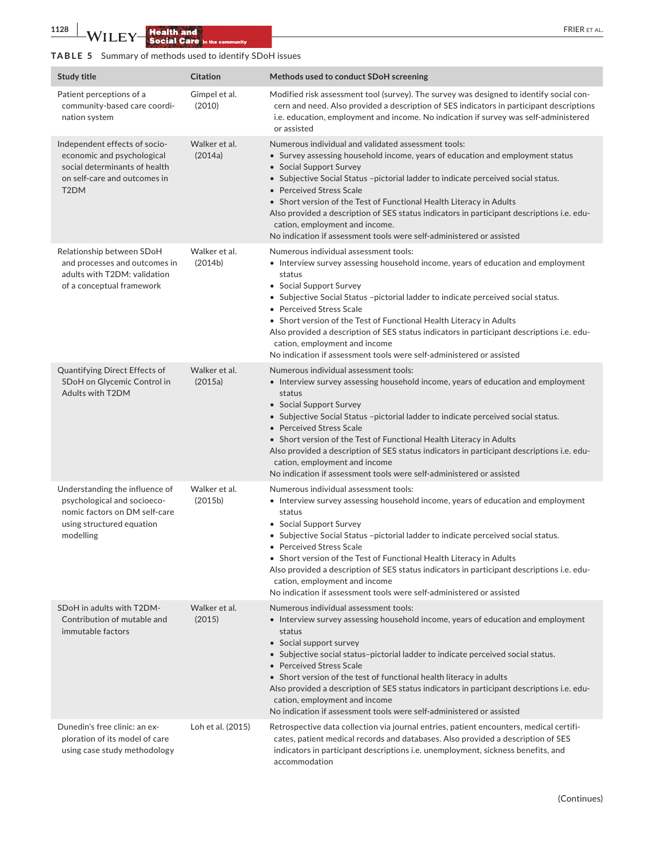**1128 WILEY Health and Social Care** in the community

niti

# **TABLE 5** Summary of methods used to identify SDoH issues

| <b>Study title</b>                                                                                                                                | <b>Citation</b>          | Methods used to conduct SDoH screening                                                                                                                                                                                                                                                                                                                                                                                                                                                                                                                          |
|---------------------------------------------------------------------------------------------------------------------------------------------------|--------------------------|-----------------------------------------------------------------------------------------------------------------------------------------------------------------------------------------------------------------------------------------------------------------------------------------------------------------------------------------------------------------------------------------------------------------------------------------------------------------------------------------------------------------------------------------------------------------|
| Patient perceptions of a<br>community-based care coordi-<br>nation system                                                                         | Gimpel et al.<br>(2010)  | Modified risk assessment tool (survey). The survey was designed to identify social con-<br>cern and need. Also provided a description of SES indicators in participant descriptions<br>i.e. education, employment and income. No indication if survey was self-administered<br>or assisted                                                                                                                                                                                                                                                                      |
| Independent effects of socio-<br>economic and psychological<br>social determinants of health<br>on self-care and outcomes in<br>T <sub>2</sub> DM | Walker et al.<br>(2014a) | Numerous individual and validated assessment tools:<br>• Survey assessing household income, years of education and employment status<br>• Social Support Survey<br>• Subjective Social Status -pictorial ladder to indicate perceived social status.<br>• Perceived Stress Scale<br>• Short version of the Test of Functional Health Literacy in Adults<br>Also provided a description of SES status indicators in participant descriptions i.e. edu-<br>cation, employment and income.<br>No indication if assessment tools were self-administered or assisted |
| Relationship between SDoH<br>and processes and outcomes in<br>adults with T2DM: validation<br>of a conceptual framework                           | Walker et al.<br>(2014b) | Numerous individual assessment tools:<br>• Interview survey assessing household income, years of education and employment<br>status<br>• Social Support Survey<br>• Subjective Social Status -pictorial ladder to indicate perceived social status.<br>• Perceived Stress Scale<br>• Short version of the Test of Functional Health Literacy in Adults<br>Also provided a description of SES status indicators in participant descriptions i.e. edu-<br>cation, employment and income<br>No indication if assessment tools were self-administered or assisted   |
| Quantifying Direct Effects of<br>SDoH on Glycemic Control in<br>Adults with T2DM                                                                  | Walker et al.<br>(2015a) | Numerous individual assessment tools:<br>• Interview survey assessing household income, years of education and employment<br>status<br>• Social Support Survey<br>• Subjective Social Status -pictorial ladder to indicate perceived social status.<br>• Perceived Stress Scale<br>• Short version of the Test of Functional Health Literacy in Adults<br>Also provided a description of SES status indicators in participant descriptions i.e. edu-<br>cation, employment and income<br>No indication if assessment tools were self-administered or assisted   |
| Understanding the influence of<br>psychological and socioeco-<br>nomic factors on DM self-care<br>using structured equation<br>modelling          | Walker et al.<br>(2015b) | Numerous individual assessment tools:<br>• Interview survey assessing household income, years of education and employment<br>status<br>• Social Support Survey<br>• Subjective Social Status -pictorial ladder to indicate perceived social status.<br>• Perceived Stress Scale<br>• Short version of the Test of Functional Health Literacy in Adults<br>Also provided a description of SES status indicators in participant descriptions i.e. edu-<br>cation, employment and income<br>No indication if assessment tools were self-administered or assisted   |
| SDoH in adults with T2DM-<br>Contribution of mutable and<br>immutable factors                                                                     | Walker et al.<br>(2015)  | Numerous individual assessment tools:<br>• Interview survey assessing household income, years of education and employment<br>status<br>• Social support survey<br>• Subjective social status-pictorial ladder to indicate perceived social status.<br>• Perceived Stress Scale<br>• Short version of the test of functional health literacy in adults<br>Also provided a description of SES status indicators in participant descriptions i.e. edu-<br>cation, employment and income<br>No indication if assessment tools were self-administered or assisted    |
| Dunedin's free clinic: an ex-<br>ploration of its model of care<br>using case study methodology                                                   | Loh et al. (2015)        | Retrospective data collection via journal entries, patient encounters, medical certifi-<br>cates, patient medical records and databases. Also provided a description of SES<br>indicators in participant descriptions i.e. unemployment, sickness benefits, and<br>accommodation                                                                                                                                                                                                                                                                                |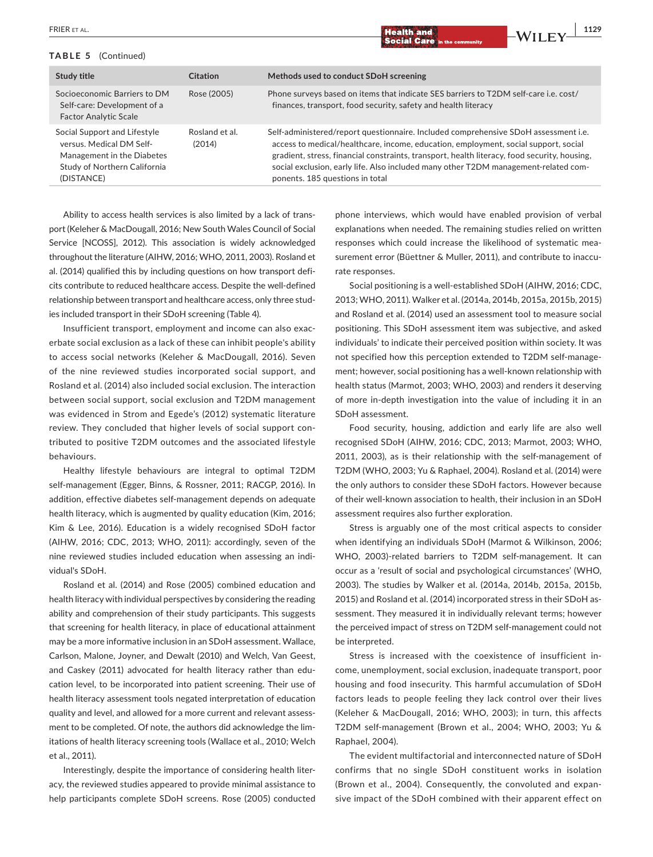#### **TABLE 5** (Continued)

| Study title                                                                                                                          | Citation                 | Methods used to conduct SDoH screening                                                                                                                                                                                                                                                                                                                                                               |
|--------------------------------------------------------------------------------------------------------------------------------------|--------------------------|------------------------------------------------------------------------------------------------------------------------------------------------------------------------------------------------------------------------------------------------------------------------------------------------------------------------------------------------------------------------------------------------------|
| Socioeconomic Barriers to DM<br>Self-care: Development of a<br><b>Factor Analytic Scale</b>                                          | Rose (2005)              | Phone surveys based on items that indicate SES barriers to T2DM self-care i.e. cost/<br>finances, transport, food security, safety and health literacy                                                                                                                                                                                                                                               |
| Social Support and Lifestyle<br>versus. Medical DM Self-<br>Management in the Diabetes<br>Study of Northern California<br>(DISTANCE) | Rosland et al.<br>(2014) | Self-administered/report questionnaire. Included comprehensive SDoH assessment i.e.<br>access to medical/healthcare, income, education, employment, social support, social<br>gradient, stress, financial constraints, transport, health literacy, food security, housing,<br>social exclusion, early life. Also included many other T2DM management-related com-<br>ponents. 185 questions in total |

Ability to access health services is also limited by a lack of transport (Keleher & MacDougall, 2016; New South Wales Council of Social Service [NCOSS], 2012). This association is widely acknowledged throughout the literature (AIHW, 2016; WHO, 2011, 2003). Rosland et al. (2014) qualified this by including questions on how transport deficits contribute to reduced healthcare access. Despite the well-defined relationship between transport and healthcare access, only three studies included transport in their SDoH screening (Table 4).

Insufficient transport, employment and income can also exacerbate social exclusion as a lack of these can inhibit people's ability to access social networks (Keleher & MacDougall, 2016). Seven of the nine reviewed studies incorporated social support, and Rosland et al. (2014) also included social exclusion. The interaction between social support, social exclusion and T2DM management was evidenced in Strom and Egede's (2012) systematic literature review. They concluded that higher levels of social support contributed to positive T2DM outcomes and the associated lifestyle behaviours.

Healthy lifestyle behaviours are integral to optimal T2DM self-management (Egger, Binns, & Rossner, 2011; RACGP, 2016). In addition, effective diabetes self-management depends on adequate health literacy, which is augmented by quality education (Kim, 2016; Kim & Lee, 2016). Education is a widely recognised SDoH factor (AIHW, 2016; CDC, 2013; WHO, 2011): accordingly, seven of the nine reviewed studies included education when assessing an individual's SDoH.

Rosland et al. (2014) and Rose (2005) combined education and health literacy with individual perspectives by considering the reading ability and comprehension of their study participants. This suggests that screening for health literacy, in place of educational attainment may be a more informative inclusion in an SDoH assessment. Wallace, Carlson, Malone, Joyner, and Dewalt (2010) and Welch, Van Geest, and Caskey (2011) advocated for health literacy rather than education level, to be incorporated into patient screening. Their use of health literacy assessment tools negated interpretation of education quality and level, and allowed for a more current and relevant assessment to be completed. Of note, the authors did acknowledge the limitations of health literacy screening tools (Wallace et al., 2010; Welch et al., 2011).

Interestingly, despite the importance of considering health literacy, the reviewed studies appeared to provide minimal assistance to help participants complete SDoH screens. Rose (2005) conducted

phone interviews, which would have enabled provision of verbal explanations when needed. The remaining studies relied on written responses which could increase the likelihood of systematic measurement error (Büettner & Muller, 2011), and contribute to inaccurate responses.

Social positioning is a well-established SDoH (AIHW, 2016; CDC, 2013; WHO, 2011). Walker et al. (2014a, 2014b, 2015a, 2015b, 2015) and Rosland et al. (2014) used an assessment tool to measure social positioning. This SDoH assessment item was subjective, and asked individuals' to indicate their perceived position within society. It was not specified how this perception extended to T2DM self-management; however, social positioning has a well-known relationship with health status (Marmot, 2003; WHO, 2003) and renders it deserving of more in-depth investigation into the value of including it in an SDoH assessment.

Food security, housing, addiction and early life are also well recognised SDoH (AIHW, 2016; CDC, 2013; Marmot, 2003; WHO, 2011, 2003), as is their relationship with the self-management of T2DM (WHO, 2003; Yu & Raphael, 2004). Rosland et al. (2014) were the only authors to consider these SDoH factors. However because of their well-known association to health, their inclusion in an SDoH assessment requires also further exploration.

Stress is arguably one of the most critical aspects to consider when identifying an individuals SDoH (Marmot & Wilkinson, 2006; WHO, 2003)-related barriers to T2DM self-management. It can occur as a 'result of social and psychological circumstances' (WHO, 2003). The studies by Walker et al. (2014a, 2014b, 2015a, 2015b, 2015) and Rosland et al. (2014) incorporated stress in their SDoH assessment. They measured it in individually relevant terms; however the perceived impact of stress on T2DM self-management could not be interpreted.

Stress is increased with the coexistence of insufficient income, unemployment, social exclusion, inadequate transport, poor housing and food insecurity. This harmful accumulation of SDoH factors leads to people feeling they lack control over their lives (Keleher & MacDougall, 2016; WHO, 2003); in turn, this affects T2DM self-management (Brown et al., 2004; WHO, 2003; Yu & Raphael, 2004).

The evident multifactorial and interconnected nature of SDoH confirms that no single SDoH constituent works in isolation (Brown et al., 2004). Consequently, the convoluted and expansive impact of the SDoH combined with their apparent effect on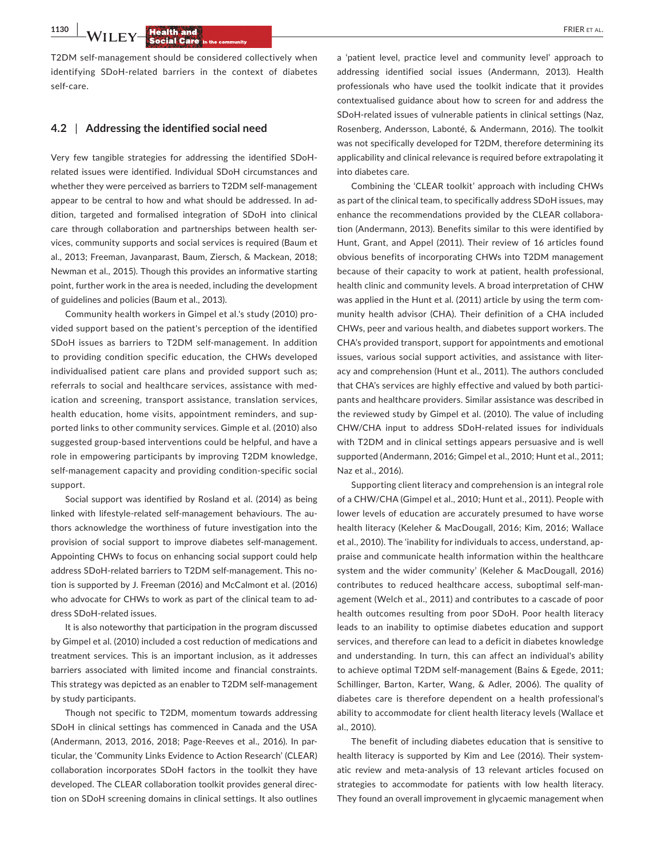**1130 | INVITELY Health and <b>CONSTRUCTER** EXP. FRIER ET AL.

T2DM self-management should be considered collectively when identifying SDoH-related barriers in the context of diabetes self-care.

#### **4.2** | **Addressing the identified social need**

Very few tangible strategies for addressing the identified SDoHrelated issues were identified. Individual SDoH circumstances and whether they were perceived as barriers to T2DM self-management appear to be central to how and what should be addressed. In addition, targeted and formalised integration of SDoH into clinical care through collaboration and partnerships between health services, community supports and social services is required (Baum et al., 2013; Freeman, Javanparast, Baum, Ziersch, & Mackean, 2018; Newman et al., 2015). Though this provides an informative starting point, further work in the area is needed, including the development of guidelines and policies (Baum et al., 2013).

Community health workers in Gimpel et al.'s study (2010) provided support based on the patient's perception of the identified SDoH issues as barriers to T2DM self-management. In addition to providing condition specific education, the CHWs developed individualised patient care plans and provided support such as; referrals to social and healthcare services, assistance with medication and screening, transport assistance, translation services, health education, home visits, appointment reminders, and supported links to other community services. Gimple et al. (2010) also suggested group-based interventions could be helpful, and have a role in empowering participants by improving T2DM knowledge, self-management capacity and providing condition-specific social support.

Social support was identified by Rosland et al. (2014) as being linked with lifestyle-related self-management behaviours. The authors acknowledge the worthiness of future investigation into the provision of social support to improve diabetes self-management. Appointing CHWs to focus on enhancing social support could help address SDoH-related barriers to T2DM self-management. This notion is supported by J. Freeman (2016) and McCalmont et al. (2016) who advocate for CHWs to work as part of the clinical team to address SDoH-related issues.

It is also noteworthy that participation in the program discussed by Gimpel et al. (2010) included a cost reduction of medications and treatment services. This is an important inclusion, as it addresses barriers associated with limited income and financial constraints. This strategy was depicted as an enabler to T2DM self-management by study participants.

Though not specific to T2DM, momentum towards addressing SDoH in clinical settings has commenced in Canada and the USA (Andermann, 2013, 2016, 2018; Page-Reeves et al., 2016). In particular, the 'Community Links Evidence to Action Research' (CLEAR) collaboration incorporates SDoH factors in the toolkit they have developed. The CLEAR collaboration toolkit provides general direction on SDoH screening domains in clinical settings. It also outlines

a 'patient level, practice level and community level' approach to addressing identified social issues (Andermann, 2013). Health professionals who have used the toolkit indicate that it provides contextualised guidance about how to screen for and address the SDoH-related issues of vulnerable patients in clinical settings (Naz, Rosenberg, Andersson, Labonté, & Andermann, 2016). The toolkit was not specifically developed for T2DM, therefore determining its applicability and clinical relevance is required before extrapolating it into diabetes care.

Combining the 'CLEAR toolkit' approach with including CHWs as part of the clinical team, to specifically address SDoH issues, may enhance the recommendations provided by the CLEAR collaboration (Andermann, 2013). Benefits similar to this were identified by Hunt, Grant, and Appel (2011). Their review of 16 articles found obvious benefits of incorporating CHWs into T2DM management because of their capacity to work at patient, health professional, health clinic and community levels. A broad interpretation of CHW was applied in the Hunt et al. (2011) article by using the term community health advisor (CHA). Their definition of a CHA included CHWs, peer and various health, and diabetes support workers. The CHA's provided transport, support for appointments and emotional issues, various social support activities, and assistance with literacy and comprehension (Hunt et al., 2011). The authors concluded that CHA's services are highly effective and valued by both participants and healthcare providers. Similar assistance was described in the reviewed study by Gimpel et al. (2010). The value of including CHW/CHA input to address SDoH-related issues for individuals with T2DM and in clinical settings appears persuasive and is well supported (Andermann, 2016; Gimpel et al., 2010; Hunt et al., 2011; Naz et al., 2016).

Supporting client literacy and comprehension is an integral role of a CHW/CHA (Gimpel et al., 2010; Hunt et al., 2011). People with lower levels of education are accurately presumed to have worse health literacy (Keleher & MacDougall, 2016; Kim, 2016; Wallace et al., 2010). The 'inability for individuals to access, understand, appraise and communicate health information within the healthcare system and the wider community' (Keleher & MacDougall, 2016) contributes to reduced healthcare access, suboptimal self-management (Welch et al., 2011) and contributes to a cascade of poor health outcomes resulting from poor SDoH. Poor health literacy leads to an inability to optimise diabetes education and support services, and therefore can lead to a deficit in diabetes knowledge and understanding. In turn, this can affect an individual's ability to achieve optimal T2DM self-management (Bains & Egede, 2011; Schillinger, Barton, Karter, Wang, & Adler, 2006). The quality of diabetes care is therefore dependent on a health professional's ability to accommodate for client health literacy levels (Wallace et al., 2010).

The benefit of including diabetes education that is sensitive to health literacy is supported by Kim and Lee (2016). Their systematic review and meta-analysis of 13 relevant articles focused on strategies to accommodate for patients with low health literacy. They found an overall improvement in glycaemic management when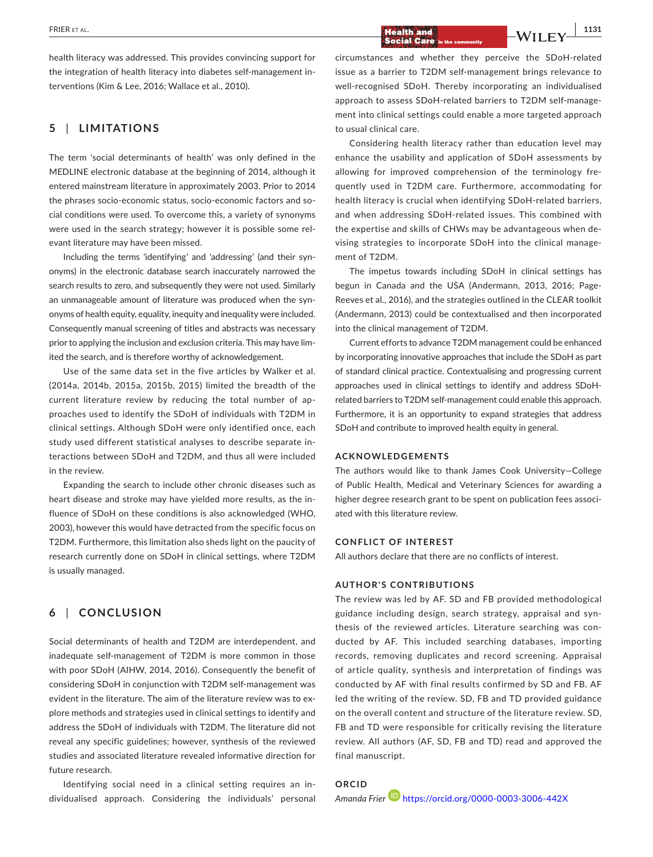# **|** FRIER et al. **1131**

health literacy was addressed. This provides convincing support for the integration of health literacy into diabetes self-management interventions (Kim & Lee, 2016; Wallace et al., 2010).

## **5** | **LIMITATIONS**

The term 'social determinants of health' was only defined in the MEDLINE electronic database at the beginning of 2014, although it entered mainstream literature in approximately 2003. Prior to 2014 the phrases socio-economic status, socio-economic factors and social conditions were used. To overcome this, a variety of synonyms were used in the search strategy; however it is possible some relevant literature may have been missed.

Including the terms 'identifying' and 'addressing' (and their synonyms) in the electronic database search inaccurately narrowed the search results to zero, and subsequently they were not used. Similarly an unmanageable amount of literature was produced when the synonyms of health equity, equality, inequity and inequality were included. Consequently manual screening of titles and abstracts was necessary prior to applying the inclusion and exclusion criteria. This may have limited the search, and is therefore worthy of acknowledgement.

Use of the same data set in the five articles by Walker et al. (2014a, 2014b, 2015a, 2015b, 2015) limited the breadth of the current literature review by reducing the total number of approaches used to identify the SDoH of individuals with T2DM in clinical settings. Although SDoH were only identified once, each study used different statistical analyses to describe separate interactions between SDoH and T2DM, and thus all were included in the review.

Expanding the search to include other chronic diseases such as heart disease and stroke may have yielded more results, as the influence of SDoH on these conditions is also acknowledged (WHO, 2003), however this would have detracted from the specific focus on T2DM. Furthermore, this limitation also sheds light on the paucity of research currently done on SDoH in clinical settings, where T2DM is usually managed.

# **6** | **CONCLUSION**

Social determinants of health and T2DM are interdependent, and inadequate self-management of T2DM is more common in those with poor SDoH (AIHW, 2014, 2016). Consequently the benefit of considering SDoH in conjunction with T2DM self-management was evident in the literature. The aim of the literature review was to explore methods and strategies used in clinical settings to identify and address the SDoH of individuals with T2DM. The literature did not reveal any specific guidelines; however, synthesis of the reviewed studies and associated literature revealed informative direction for future research.

Identifying social need in a clinical setting requires an individualised approach. Considering the individuals' personal circumstances and whether they perceive the SDoH-related issue as a barrier to T2DM self-management brings relevance to well-recognised SDoH. Thereby incorporating an individualised approach to assess SDoH-related barriers to T2DM self-management into clinical settings could enable a more targeted approach to usual clinical care.

Considering health literacy rather than education level may enhance the usability and application of SDoH assessments by allowing for improved comprehension of the terminology frequently used in T2DM care. Furthermore, accommodating for health literacy is crucial when identifying SDoH-related barriers, and when addressing SDoH-related issues. This combined with the expertise and skills of CHWs may be advantageous when devising strategies to incorporate SDoH into the clinical management of T2DM.

The impetus towards including SDoH in clinical settings has begun in Canada and the USA (Andermann, 2013, 2016; Page-Reeves et al., 2016), and the strategies outlined in the CLEAR toolkit (Andermann, 2013) could be contextualised and then incorporated into the clinical management of T2DM.

Current efforts to advance T2DM management could be enhanced by incorporating innovative approaches that include the SDoH as part of standard clinical practice. Contextualising and progressing current approaches used in clinical settings to identify and address SDoHrelated barriers to T2DM self-management could enable this approach. Furthermore, it is an opportunity to expand strategies that address SDoH and contribute to improved health equity in general.

#### **ACKNOWLEDGEMENTS**

The authors would like to thank James Cook University—College of Public Health, Medical and Veterinary Sciences for awarding a higher degree research grant to be spent on publication fees associated with this literature review.

#### **CONFLICT OF INTEREST**

All authors declare that there are no conflicts of interest.

#### **AUTHOR'S CONTRIBUTIONS**

The review was led by AF. SD and FB provided methodological guidance including design, search strategy, appraisal and synthesis of the reviewed articles. Literature searching was conducted by AF. This included searching databases, importing records, removing duplicates and record screening. Appraisal of article quality, synthesis and interpretation of findings was conducted by AF with final results confirmed by SD and FB. AF led the writing of the review. SD, FB and TD provided guidance on the overall content and structure of the literature review. SD, FB and TD were responsible for critically revising the literature review. All authors (AF, SD, FB and TD) read and approved the final manuscript.

**ORCID** *Amanda Frier* <https://orcid.org/0000-0003-3006-442X>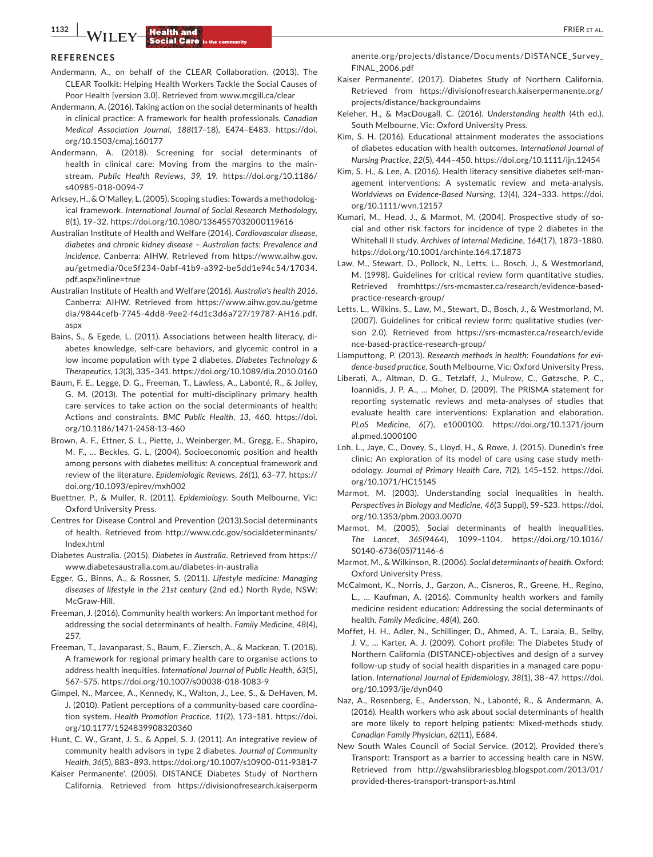#### **REFERENCES**

- Andermann, A., on behalf of the CLEAR Collaboration. (2013). The CLEAR Toolkit: Helping Health Workers Tackle the Social Causes of Poor Health [version 3.0]. Retrieved from [www.mcgill.ca/clear](http://www.mcgill.ca/clear)
- Andermann, A. (2016). Taking action on the social determinants of health in clinical practice: A framework for health professionals. *Canadian Medical Association Journal*, *188*(17–18), E474–E483. [https://doi.](https://doi.org/10.1503/cmaj.160177) [org/10.1503/cmaj.160177](https://doi.org/10.1503/cmaj.160177)
- Andermann, A. (2018). Screening for social determinants of health in clinical care: Moving from the margins to the mainstream. *Public Health Reviews*, *39*, 19. [https://doi.org/10.1186/](https://doi.org/10.1186/s40985-018-0094-7) [s40985-018-0094-7](https://doi.org/10.1186/s40985-018-0094-7)
- Arksey, H., & O'Malley, L. (2005). Scoping studies: Towards a methodological framework. *International Journal of Social Research Methodology*, *8*(1), 19–32. <https://doi.org/10.1080/1364557032000119616>
- Australian Institute of Health and Welfare (2014). *Cardiovascular disease, diabetes and chronic kidney disease – Australian facts: Prevalence and incidence*. Canberra: AIHW. Retrieved from [https://www.aihw.gov.](https://www.aihw.gov.au/getmedia/0ce5f234-0abf-41b9-a392-be5dd1e94c54/17034.pdf.aspx?inline=true) [au/getmedia/0ce5f234-0abf-41b9-a392-be5dd1e94c54/17034.](https://www.aihw.gov.au/getmedia/0ce5f234-0abf-41b9-a392-be5dd1e94c54/17034.pdf.aspx?inline=true) [pdf.aspx?inline=true](https://www.aihw.gov.au/getmedia/0ce5f234-0abf-41b9-a392-be5dd1e94c54/17034.pdf.aspx?inline=true)
- Australian Institute of Health and Welfare (2016). *Australia's health 2016*. Canberra: AIHW. Retrieved from [https://www.aihw.gov.au/getme](https://www.aihw.gov.au/getmedia/9844cefb-7745-4dd8-9ee2-f4d1c3d6a727/19787-AH16.pdf.aspx) [dia/9844cefb-7745-4dd8-9ee2-f4d1c3d6a727/19787-AH16.pdf.](https://www.aihw.gov.au/getmedia/9844cefb-7745-4dd8-9ee2-f4d1c3d6a727/19787-AH16.pdf.aspx) [aspx](https://www.aihw.gov.au/getmedia/9844cefb-7745-4dd8-9ee2-f4d1c3d6a727/19787-AH16.pdf.aspx)
- Bains, S., & Egede, L. (2011). Associations between health literacy, diabetes knowledge, self-care behaviors, and glycemic control in a low income population with type 2 diabetes. *Diabetes Technology & Therapeutics*, *13*(3), 335–341.<https://doi.org/10.1089/dia.2010.0160>
- Baum, F. E., Legge, D. G., Freeman, T., Lawless, A., Labonté, R., & Jolley, G. M. (2013). The potential for multi-disciplinary primary health care services to take action on the social determinants of health: Actions and constraints. *BMC Public Health*, *13*, 460. [https://doi.](https://doi.org/10.1186/1471-2458-13-460) [org/10.1186/1471-2458-13-460](https://doi.org/10.1186/1471-2458-13-460)
- Brown, A. F., Ettner, S. L., Piette, J., Weinberger, M., Gregg, E., Shapiro, M. F., … Beckles, G. L. (2004). Socioeconomic position and health among persons with diabetes mellitus: A conceptual framework and review of the literature. *Epidemiologic Reviews*, *26*(1), 63–77. [https://](https://doi.org/10.1093/epirev/mxh002) [doi.org/10.1093/epirev/mxh002](https://doi.org/10.1093/epirev/mxh002)
- Buettner, P., & Muller, R. (2011). *Epidemiology*. South Melbourne, Vic: Oxford University Press.
- Centres for Disease Control and Prevention (2013).Social determinants of health. Retrieved from [http://www.cdc.gov/socialdeterminants/](http://www.cdc.gov/socialdeterminants/Index.html) [Index.html](http://www.cdc.gov/socialdeterminants/Index.html)
- Diabetes Australia. (2015). *Diabetes in Australia*. Retrieved from [https://](https://www.diabetesaustralia.com.au/diabetes-in-australia) [www.diabetesaustralia.com.au/diabetes-in-australia](https://www.diabetesaustralia.com.au/diabetes-in-australia)
- Egger, G., Binns, A., & Rossner, S. (2011). *Lifestyle medicine: Managing diseases of lifestyle in the 21st century* (2nd ed.) North Ryde, NSW: McGraw-Hill.
- Freeman, J. (2016). Community health workers: An important method for addressing the social determinants of health. *Family Medicine*, *48*(4), 257.
- Freeman, T., Javanparast, S., Baum, F., Ziersch, A., & Mackean, T. (2018). A framework for regional primary health care to organise actions to address health inequities. *International Journal of Public Health*, *63*(5), 567–575. <https://doi.org/10.1007/s00038-018-1083-9>
- Gimpel, N., Marcee, A., Kennedy, K., Walton, J., Lee, S., & DeHaven, M. J. (2010). Patient perceptions of a community-based care coordination system. *Health Promotion Practice*, *11*(2), 173–181. [https://doi.](https://doi.org/10.1177/1524839908320360) [org/10.1177/1524839908320360](https://doi.org/10.1177/1524839908320360)
- Hunt, C. W., Grant, J. S., & Appel, S. J. (2011). An integrative review of community health advisors in type 2 diabetes. *Journal of Community Health*, *36*(5), 883–893.<https://doi.org/10.1007/s10900-011-9381-7>
- Kaiser Permanente'. (2005). DISTANCE Diabetes Study of Northern California. Retrieved from [https://divisionofresearch.kaiserperm](https://divisionofresearch.kaiserpermanente.org/projects/distance/Documents/DISTANCE_Survey_FINAL_2006.pdf)

[anente.org/projects/distance/Documents/DISTANCE\\_Survey\\_](https://divisionofresearch.kaiserpermanente.org/projects/distance/Documents/DISTANCE_Survey_FINAL_2006.pdf) [FINAL\\_2006.pdf](https://divisionofresearch.kaiserpermanente.org/projects/distance/Documents/DISTANCE_Survey_FINAL_2006.pdf)

- Kaiser Permanente'. (2017). Diabetes Study of Northern California. Retrieved from [https://divisionofresearch.kaiserpermanente.org/](https://divisionofresearch.kaiserpermanente.org/projects/distance/backgroundaims) [projects/distance/backgroundaims](https://divisionofresearch.kaiserpermanente.org/projects/distance/backgroundaims)
- Keleher, H., & MacDougall, C. (2016). *Understanding health* (4th ed.). South Melbourne, Vic: Oxford University Press.
- Kim, S. H. (2016). Educational attainment moderates the associations of diabetes education with health outcomes. *International Journal of Nursing Practice*, *22*(5), 444–450.<https://doi.org/10.1111/ijn.12454>
- Kim, S. H., & Lee, A. (2016). Health literacy sensitive diabetes self-management interventions: A systematic review and meta-analysis. *Worldviews on Evidence-Based Nursing*, *13*(4), 324–333. [https://doi.](https://doi.org/10.1111/wvn.12157) [org/10.1111/wvn.12157](https://doi.org/10.1111/wvn.12157)
- Kumari, M., Head, J., & Marmot, M. (2004). Prospective study of social and other risk factors for incidence of type 2 diabetes in the Whitehall II study. *Archives of Internal Medicine*, *164*(17), 1873–1880. <https://doi.org/10.1001/archinte.164.17.1873>
- Law, M., Stewart, D., Pollock, N., Letts, L., Bosch, J., & Westmorland, M. (1998). Guidelines for critical review form quantitative studies. Retrieved from[https://srs-mcmaster.ca/research/evidence-based](https://srs-mcmaster.ca/research/evidence-based-practice-research-group/)[practice-research-group/](https://srs-mcmaster.ca/research/evidence-based-practice-research-group/)
- Letts, L., Wilkins, S., Law, M., Stewart, D., Bosch, J., & Westmorland, M. (2007). Guidelines for critical review form: qualitative studies (version 2.0). Retrieved from [https://srs-mcmaster.ca/research/evide](https://srs-mcmaster.ca/research/evidence-based-practice-research-group/) [nce-based-practice-research-group/](https://srs-mcmaster.ca/research/evidence-based-practice-research-group/)
- Liamputtong, P. (2013). *Research methods in health: Foundations for evidence-based practice*. South Melbourne, Vic: Oxford University Press.
- Liberati, A., Altman, D. G., Tetzlaff, J., Mulrow, C., Gøtzsche, P. C., Ioannidis, J. P. A., … Moher, D. (2009). The PRISMA statement for reporting systematic reviews and meta-analyses of studies that evaluate health care interventions: Explanation and elaboration. *PLoS Medicine*, *6*(7), e1000100. [https://doi.org/10.1371/journ](https://doi.org/10.1371/journal.pmed.1000100) [al.pmed.1000100](https://doi.org/10.1371/journal.pmed.1000100)
- Loh, L., Jaye, C., Dovey, S., Lloyd, H., & Rowe, J. (2015). Dunedin's free clinic: An exploration of its model of care using case study methodology. *Journal of Primary Health Care*, *7*(2), 145–152. [https://doi.](https://doi.org/10.1071/HC15145) [org/10.1071/HC15145](https://doi.org/10.1071/HC15145)
- Marmot, M. (2003). Understanding social inequalities in health. *Perspectives in Biology and Medicine*, *46*(3 Suppl), S9–S23. [https://doi.](https://doi.org/10.1353/pbm.2003.0070) [org/10.1353/pbm.2003.0070](https://doi.org/10.1353/pbm.2003.0070)
- Marmot, M. (2005). Social determinants of health inequalities. *The Lancet*, *365*(9464), 1099–1104. [https://doi.org/10.1016/](https://doi.org/10.1016/S0140-6736(05)71146-6) [S0140-6736\(05\)71146-6](https://doi.org/10.1016/S0140-6736(05)71146-6)
- Marmot, M., & Wilkinson, R. (2006). *Social determinants of health*. Oxford: Oxford University Press.
- McCalmont, K., Norris, J., Garzon, A., Cisneros, R., Greene, H., Regino, L., … Kaufman, A. (2016). Community health workers and family medicine resident education: Addressing the social determinants of health. *Family Medicine*, *48*(4), 260.
- Moffet, H. H., Adler, N., Schillinger, D., Ahmed, A. T., Laraia, B., Selby, J. V., … Karter, A. J. (2009). Cohort profile: The Diabetes Study of Northern California (DISTANCE)-objectives and design of a survey follow-up study of social health disparities in a managed care population. *International Journal of Epidemiology*, *38*(1), 38–47. [https://doi.](https://doi.org/10.1093/ije/dyn040) [org/10.1093/ije/dyn040](https://doi.org/10.1093/ije/dyn040)
- Naz, A., Rosenberg, E., Andersson, N., Labonté, R., & Andermann, A. (2016). Health workers who ask about social determinants of health are more likely to report helping patients: Mixed-methods study. *Canadian Family Physician*, *62*(11), E684.
- New South Wales Council of Social Service. (2012). Provided there's Transport: Transport as a barrier to accessing health care in NSW. Retrieved from [http://gwahslibrariesblog.blogspot.com/2013/01/](http://gwahslibrariesblog.blogspot.com/2013/01/provided-theres-transport-transport-as.html) [provided-theres-transport-transport-as.html](http://gwahslibrariesblog.blogspot.com/2013/01/provided-theres-transport-transport-as.html)